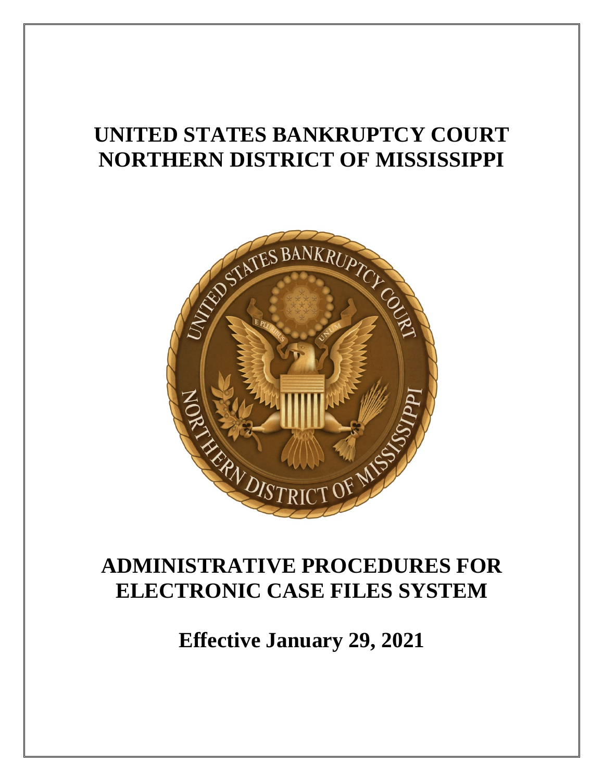# **UNITED STATES BANKRUPTCY COURT NORTHERN DISTRICT OF MISSISSIPPI**



# **ADMINISTRATIVE PROCEDURES FOR ELECTRONIC CASE FILES SYSTEM**

**Effective January 29, 2021**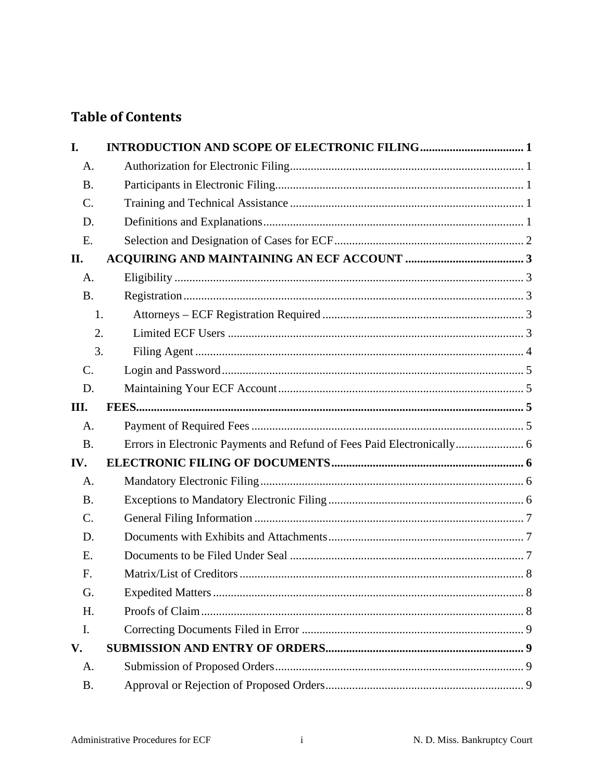# **Table of Contents**

| I.        |  |
|-----------|--|
| A.        |  |
| <b>B.</b> |  |
| $C$ .     |  |
| D.        |  |
| E.        |  |
| II.       |  |
| A.        |  |
| <b>B.</b> |  |
| 1.        |  |
| 2.        |  |
| 3.        |  |
| C.        |  |
| D.        |  |
| III.      |  |
| A.        |  |
| <b>B.</b> |  |
| IV.       |  |
| A.        |  |
| <b>B.</b> |  |
| C.        |  |
| D.        |  |
| E.        |  |
| F.        |  |
| G.        |  |
| H.        |  |
| I.        |  |
| V.        |  |
| A.        |  |
| <b>B.</b> |  |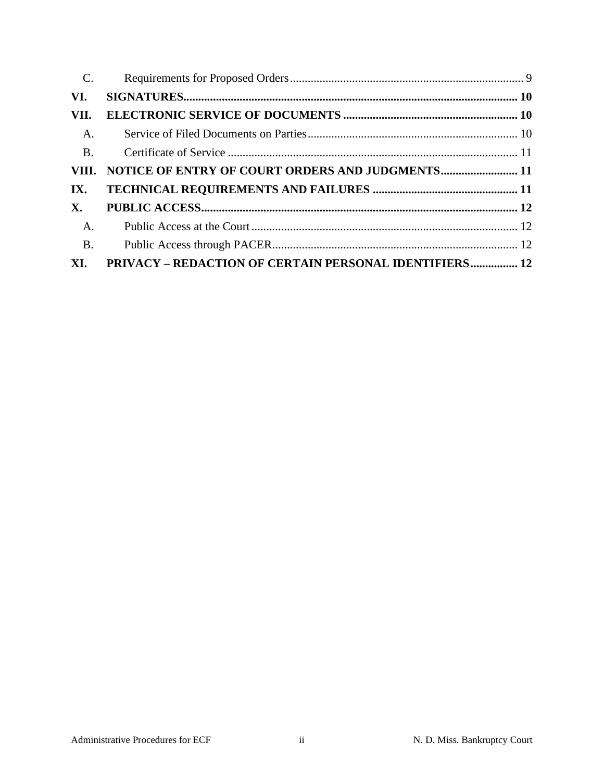| $\mathbf{C}$ . |                                                        |  |
|----------------|--------------------------------------------------------|--|
| VI.            |                                                        |  |
| VII.           |                                                        |  |
| $A_{\cdot}$    |                                                        |  |
| <b>B.</b>      |                                                        |  |
|                | VIII. NOTICE OF ENTRY OF COURT ORDERS AND JUDGMENTS 11 |  |
| IX.            |                                                        |  |
| <b>X</b> .     |                                                        |  |
| <b>A.</b>      |                                                        |  |
| <b>B.</b>      |                                                        |  |
| XI.            | PRIVACY - REDACTION OF CERTAIN PERSONAL IDENTIFIERS 12 |  |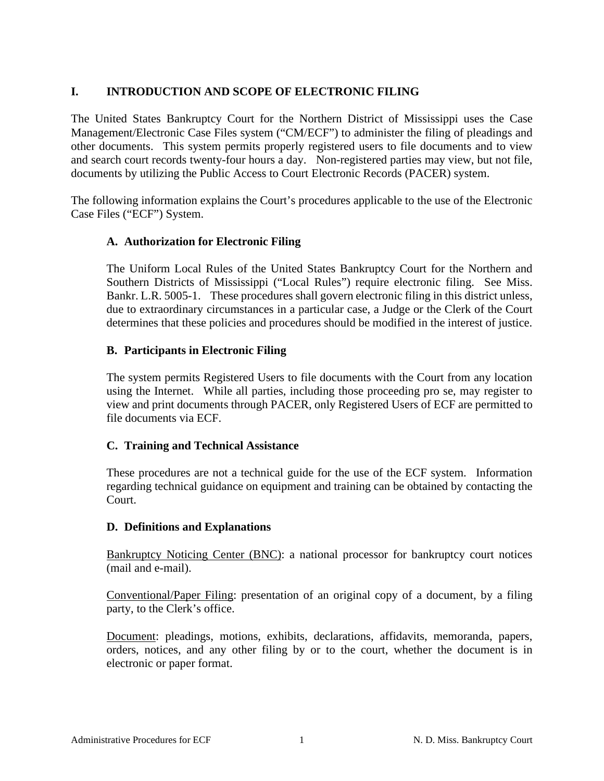### <span id="page-3-0"></span>**I. INTRODUCTION AND SCOPE OF ELECTRONIC FILING**

The United States Bankruptcy Court for the Northern District of Mississippi uses the Case Management/Electronic Case Files system ("CM/ECF") to administer the filing of pleadings and other documents. This system permits properly registered users to file documents and to view and search court records twenty-four hours a day. Non-registered parties may view, but not file, documents by utilizing the Public Access to Court Electronic Records (PACER) system.

The following information explains the Court's procedures applicable to the use of the Electronic Case Files ("ECF") System.

#### <span id="page-3-1"></span>**A. Authorization for Electronic Filing**

The Uniform Local Rules of the United States Bankruptcy Court for the Northern and Southern Districts of Mississippi ("Local Rules") require electronic filing. See Miss. Bankr. L.R. 5005-1. These procedures shall govern electronic filing in this district unless, due to extraordinary circumstances in a particular case, a Judge or the Clerk of the Court determines that these policies and procedures should be modified in the interest of justice.

#### <span id="page-3-2"></span>**B. Participants in Electronic Filing**

The system permits Registered Users to file documents with the Court from any location using the Internet. While all parties, including those proceeding pro se, may register to view and print documents through PACER, only Registered Users of ECF are permitted to file documents via ECF.

#### <span id="page-3-3"></span>**C. Training and Technical Assistance**

These procedures are not a technical guide for the use of the ECF system. Information regarding technical guidance on equipment and training can be obtained by contacting the Court.

#### <span id="page-3-4"></span>**D. Definitions and Explanations**

Bankruptcy Noticing Center (BNC): a national processor for bankruptcy court notices (mail and e-mail).

Conventional/Paper Filing: presentation of an original copy of a document, by a filing party, to the Clerk's office.

Document: pleadings, motions, exhibits, declarations, affidavits, memoranda, papers, orders, notices, and any other filing by or to the court, whether the document is in electronic or paper format.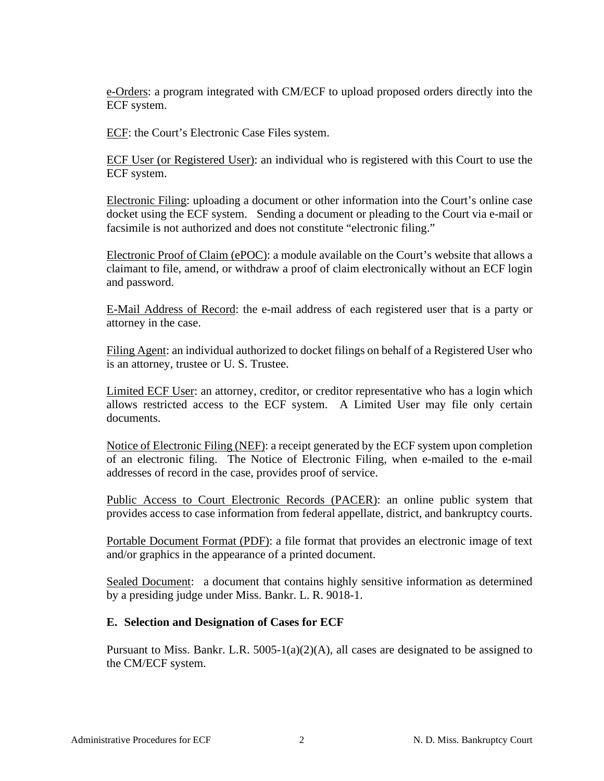e-Orders: a program integrated with CM/ECF to upload proposed orders directly into the ECF system.

ECF: the Court's Electronic Case Files system.

ECF User (or Registered User): an individual who is registered with this Court to use the ECF system.

Electronic Filing: uploading a document or other information into the Court's online case docket using the ECF system. Sending a document or pleading to the Court via e-mail or facsimile is not authorized and does not constitute "electronic filing."

Electronic Proof of Claim (ePOC): a module available on the Court's website that allows a claimant to file, amend, or withdraw a proof of claim electronically without an ECF login and password.

E-Mail Address of Record: the e-mail address of each registered user that is a party or attorney in the case.

Filing Agent: an individual authorized to docket filings on behalf of a Registered User who is an attorney, trustee or U. S. Trustee.

Limited ECF User: an attorney, creditor, or creditor representative who has a login which allows restricted access to the ECF system. A Limited User may file only certain documents.

Notice of Electronic Filing (NEF): a receipt generated by the ECF system upon completion of an electronic filing. The Notice of Electronic Filing, when e-mailed to the e-mail addresses of record in the case, provides proof of service.

Public Access to Court Electronic Records (PACER): an online public system that provides access to case information from federal appellate, district, and bankruptcy courts.

Portable Document Format (PDF): a file format that provides an electronic image of text and/or graphics in the appearance of a printed document.

Sealed Document: a document that contains highly sensitive information as determined by a presiding judge under Miss. Bankr. L. R. 9018-1.

#### <span id="page-4-0"></span>**E. Selection and Designation of Cases for ECF**

Pursuant to Miss. Bankr. L.R.  $5005-1(a)(2)(A)$ , all cases are designated to be assigned to the CM/ECF system.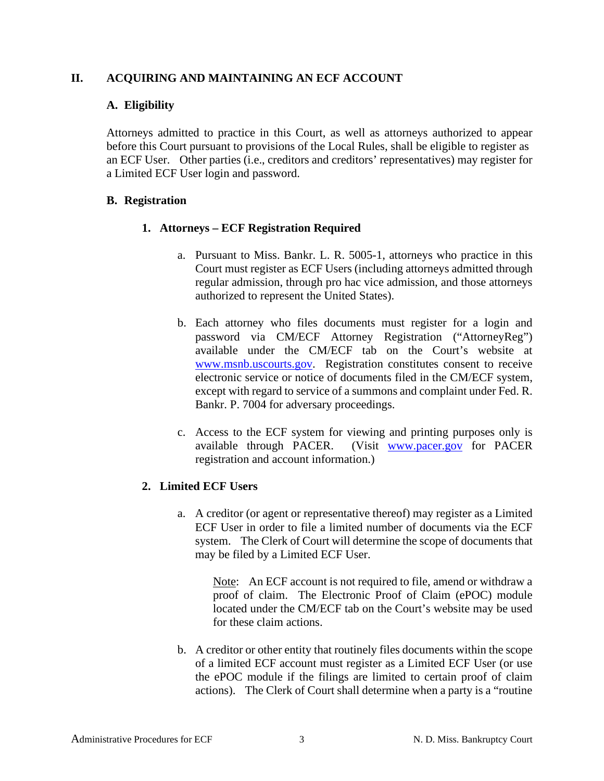#### <span id="page-5-1"></span><span id="page-5-0"></span>**II. ACQUIRING AND MAINTAINING AN ECF ACCOUNT**

### **A. Eligibility**

Attorneys admitted to practice in this Court, as well as attorneys authorized to appear before this Court pursuant to provisions of the Local Rules, shall be eligible to register as an ECF User. Other parties (i.e., creditors and creditors' representatives) may register for a Limited ECF User login and password.

### <span id="page-5-3"></span><span id="page-5-2"></span>**B. Registration**

# **1. Attorneys – ECF Registration Required**

- a. Pursuant to Miss. Bankr. L. R. 5005-1, attorneys who practice in this Court must register as ECF Users (including attorneys admitted through regular admission, through pro hac vice admission, and those attorneys authorized to represent the United States).
- b. Each attorney who files documents must register for a login and password via CM/ECF Attorney Registration ("AttorneyReg") available under the CM/ECF tab on the Court's website at [www.msnb.uscourts.gov.](http://www.msnb.uscourts.gov/) Registration constitutes consent to receive electronic service or notice of documents filed in the CM/ECF system, except with regard to service of a summons and complaint under Fed. R. Bankr. P. 7004 for adversary proceedings.
- c. Access to the ECF system for viewing and printing purposes only is available through PACER. (Visit [www.pacer.gov](http://www.pacer.gov/) for PACER registration and account information.)

# <span id="page-5-4"></span>**2. Limited ECF Users**

a. A creditor (or agent or representative thereof) may register as a Limited ECF User in order to file a limited number of documents via the ECF system. The Clerk of Court will determine the scope of documents that may be filed by a Limited ECF User.

Note: An ECF account is not required to file, amend or withdraw a proof of claim. The Electronic Proof of Claim (ePOC) module located under the CM/ECF tab on the Court's website may be used for these claim actions.

b. A creditor or other entity that routinely files documents within the scope of a limited ECF account must register as a Limited ECF User (or use the ePOC module if the filings are limited to certain proof of claim actions). The Clerk of Court shall determine when a party is a "routine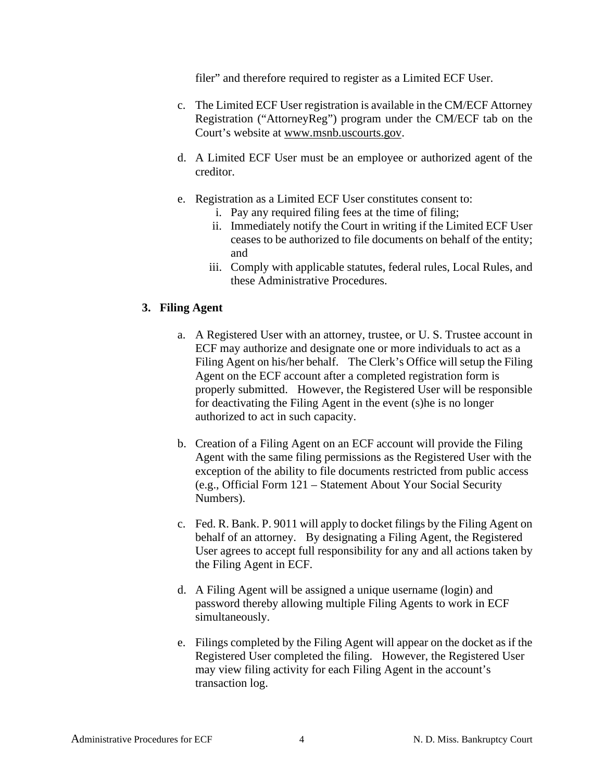filer" and therefore required to register as a Limited ECF User.

- c. The Limited ECF User registration is available in the CM/ECF Attorney Registration ("AttorneyReg") program under the CM/ECF tab on the Court's website at [www.msnb.uscourts.gov.](http://www.msnb.uscourts.gov/)
- d. A Limited ECF User must be an employee or authorized agent of the creditor.
- e. Registration as a Limited ECF User constitutes consent to:
	- i. Pay any required filing fees at the time of filing;
	- ii. Immediately notify the Court in writing if the Limited ECF User ceases to be authorized to file documents on behalf of the entity; and
	- iii. Comply with applicable statutes, federal rules, Local Rules, and these Administrative Procedures.

#### <span id="page-6-0"></span>**3. Filing Agent**

- a. A Registered User with an attorney, trustee, or U. S. Trustee account in ECF may authorize and designate one or more individuals to act as a Filing Agent on his/her behalf. The Clerk's Office will setup the Filing Agent on the ECF account after a completed registration form is properly submitted. However, the Registered User will be responsible for deactivating the Filing Agent in the event (s)he is no longer authorized to act in such capacity.
- b. Creation of a Filing Agent on an ECF account will provide the Filing Agent with the same filing permissions as the Registered User with the exception of the ability to file documents restricted from public access (e.g., Official Form 121 – Statement About Your Social Security Numbers).
- c. Fed. R. Bank. P. 9011 will apply to docket filings by the Filing Agent on behalf of an attorney. By designating a Filing Agent, the Registered User agrees to accept full responsibility for any and all actions taken by the Filing Agent in ECF.
- d. A Filing Agent will be assigned a unique username (login) and password thereby allowing multiple Filing Agents to work in ECF simultaneously.
- e. Filings completed by the Filing Agent will appear on the docket as if the Registered User completed the filing. However, the Registered User may view filing activity for each Filing Agent in the account's transaction log.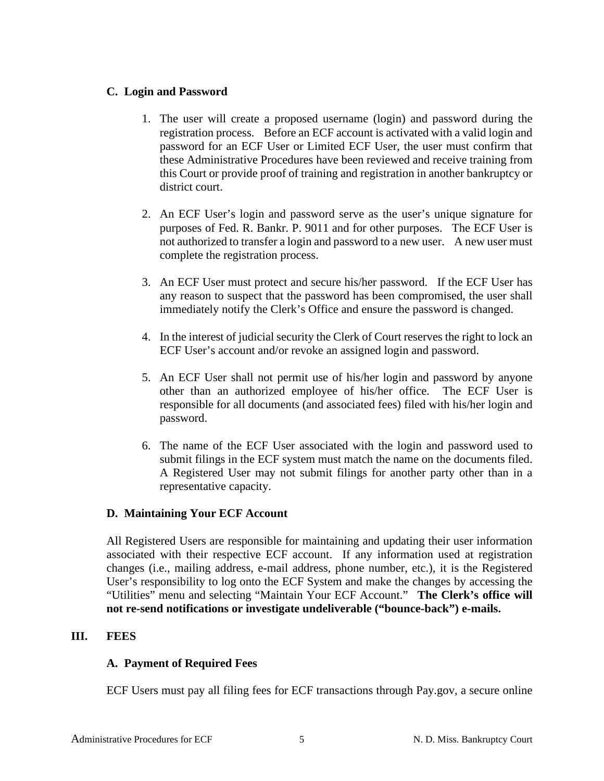### <span id="page-7-0"></span>**C. Login and Password**

- 1. The user will create a proposed username (login) and password during the registration process. Before an ECF account is activated with a valid login and password for an ECF User or Limited ECF User, the user must confirm that these Administrative Procedures have been reviewed and receive training from this Court or provide proof of training and registration in another bankruptcy or district court.
- 2. An ECF User's login and password serve as the user's unique signature for purposes of Fed. R. Bankr. P. 9011 and for other purposes. The ECF User is not authorized to transfer a login and password to a new user. A new user must complete the registration process.
- 3. An ECF User must protect and secure his/her password. If the ECF User has any reason to suspect that the password has been compromised, the user shall immediately notify the Clerk's Office and ensure the password is changed.
- 4. In the interest of judicial security the Clerk of Court reserves the right to lock an ECF User's account and/or revoke an assigned login and password.
- 5. An ECF User shall not permit use of his/her login and password by anyone other than an authorized employee of his/her office. The ECF User is responsible for all documents (and associated fees) filed with his/her login and password.
- 6. The name of the ECF User associated with the login and password used to submit filings in the ECF system must match the name on the documents filed. A Registered User may not submit filings for another party other than in a representative capacity.

#### <span id="page-7-1"></span>**D. Maintaining Your ECF Account**

All Registered Users are responsible for maintaining and updating their user information associated with their respective ECF account. If any information used at registration changes (i.e., mailing address, e-mail address, phone number, etc.), it is the Registered User's responsibility to log onto the ECF System and make the changes by accessing the "Utilities" menu and selecting "Maintain Your ECF Account." **The Clerk's office will not re-send notifications or investigate undeliverable ("bounce-back") e-mails.**

#### <span id="page-7-3"></span><span id="page-7-2"></span>**III. FEES**

#### **A. Payment of Required Fees**

ECF Users must pay all filing fees for ECF transactions through Pay.gov, a secure online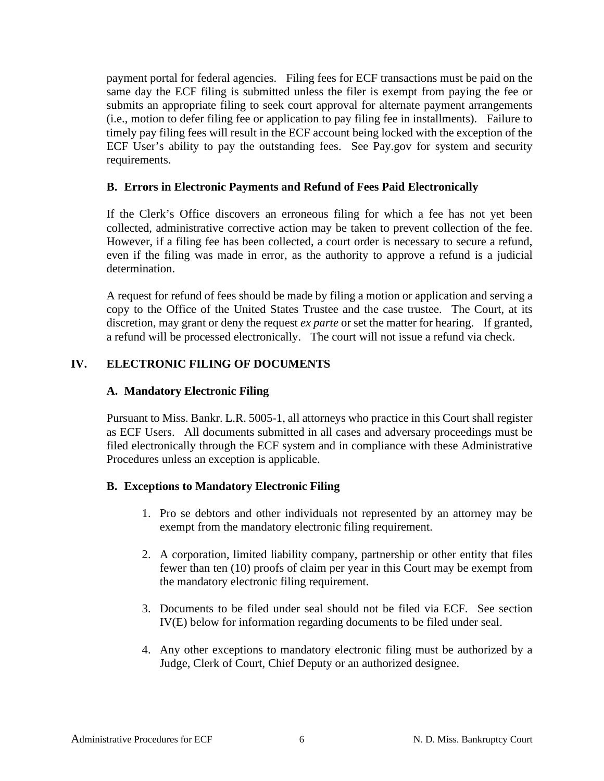payment portal for federal agencies. Filing fees for ECF transactions must be paid on the same day the ECF filing is submitted unless the filer is exempt from paying the fee or submits an appropriate filing to seek court approval for alternate payment arrangements (i.e., motion to defer filing fee or application to pay filing fee in installments). Failure to timely pay filing fees will result in the ECF account being locked with the exception of the ECF User's ability to pay the outstanding fees. See Pay.gov for system and security requirements.

#### <span id="page-8-0"></span>**B. Errors in Electronic Payments and Refund of Fees Paid Electronically**

If the Clerk's Office discovers an erroneous filing for which a fee has not yet been collected, administrative corrective action may be taken to prevent collection of the fee. However, if a filing fee has been collected, a court order is necessary to secure a refund, even if the filing was made in error, as the authority to approve a refund is a judicial determination.

A request for refund of fees should be made by filing a motion or application and serving a copy to the Office of the United States Trustee and the case trustee. The Court, at its discretion, may grant or deny the request *ex parte* or set the matter for hearing. If granted, a refund will be processed electronically. The court will not issue a refund via check.

#### <span id="page-8-2"></span><span id="page-8-1"></span>**IV. ELECTRONIC FILING OF DOCUMENTS**

#### **A. Mandatory Electronic Filing**

Pursuant to Miss. Bankr. L.R. 5005-1, all attorneys who practice in this Court shall register as ECF Users. All documents submitted in all cases and adversary proceedings must be filed electronically through the ECF system and in compliance with these Administrative Procedures unless an exception is applicable.

#### <span id="page-8-3"></span>**B. Exceptions to Mandatory Electronic Filing**

- 1. Pro se debtors and other individuals not represented by an attorney may be exempt from the mandatory electronic filing requirement.
- 2. A corporation, limited liability company, partnership or other entity that files fewer than ten (10) proofs of claim per year in this Court may be exempt from the mandatory electronic filing requirement.
- 3. Documents to be filed under seal should not be filed via ECF. See section IV(E) below for information regarding documents to be filed under seal.
- 4. Any other exceptions to mandatory electronic filing must be authorized by a Judge, Clerk of Court, Chief Deputy or an authorized designee.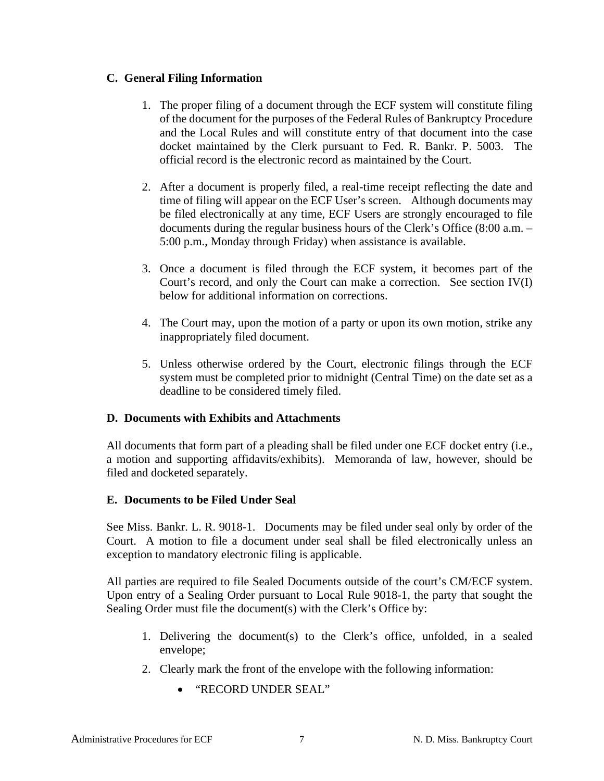# <span id="page-9-0"></span>**C. General Filing Information**

- 1. The proper filing of a document through the ECF system will constitute filing of the document for the purposes of the Federal Rules of Bankruptcy Procedure and the Local Rules and will constitute entry of that document into the case docket maintained by the Clerk pursuant to Fed. R. Bankr. P. 5003. The official record is the electronic record as maintained by the Court.
- 2. After a document is properly filed, a real-time receipt reflecting the date and time of filing will appear on the ECF User's screen. Although documents may be filed electronically at any time, ECF Users are strongly encouraged to file documents during the regular business hours of the Clerk's Office (8:00 a.m. – 5:00 p.m., Monday through Friday) when assistance is available.
- 3. Once a document is filed through the ECF system, it becomes part of the Court's record, and only the Court can make a correction. See section IV(I) below for additional information on corrections.
- 4. The Court may, upon the motion of a party or upon its own motion, strike any inappropriately filed document.
- 5. Unless otherwise ordered by the Court, electronic filings through the ECF system must be completed prior to midnight (Central Time) on the date set as a deadline to be considered timely filed.

#### <span id="page-9-1"></span>**D. Documents with Exhibits and Attachments**

All documents that form part of a pleading shall be filed under one ECF docket entry (i.e., a motion and supporting affidavits/exhibits). Memoranda of law, however, should be filed and docketed separately.

#### <span id="page-9-2"></span>**E. Documents to be Filed Under Seal**

See Miss. Bankr. L. R. 9018-1. Documents may be filed under seal only by order of the Court. A motion to file a document under seal shall be filed electronically unless an exception to mandatory electronic filing is applicable.

All parties are required to file Sealed Documents outside of the court's CM/ECF system. Upon entry of a Sealing Order pursuant to Local Rule 9018-1, the party that sought the Sealing Order must file the document(s) with the Clerk's Office by:

- 1. Delivering the document(s) to the Clerk's office, unfolded, in a sealed envelope;
- 2. Clearly mark the front of the envelope with the following information:
	- "RECORD UNDER SEAL"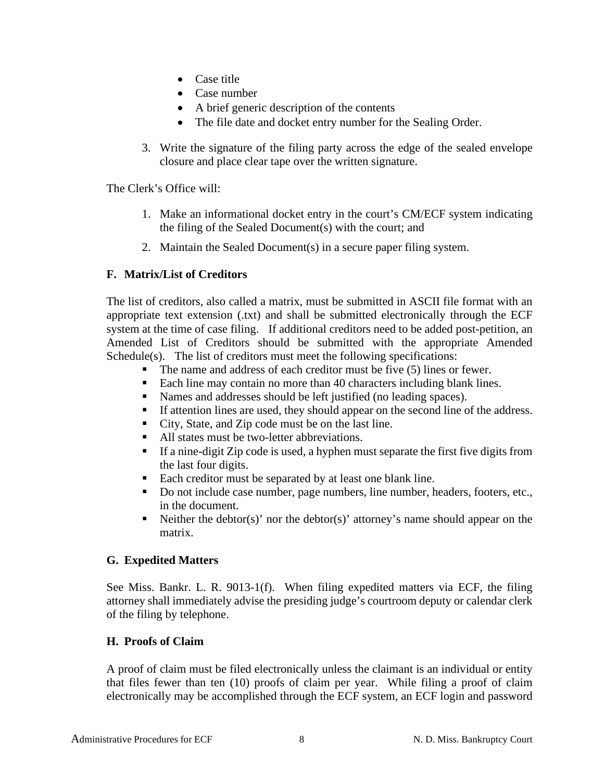- Case title
- Case number
- A brief generic description of the contents
- The file date and docket entry number for the Sealing Order.
- 3. Write the signature of the filing party across the edge of the sealed envelope closure and place clear tape over the written signature.

The Clerk's Office will:

- 1. Make an informational docket entry in the court's CM/ECF system indicating the filing of the Sealed Document(s) with the court; and
- 2. Maintain the Sealed Document(s) in a secure paper filing system.

# <span id="page-10-0"></span>**F. Matrix/List of Creditors**

The list of creditors, also called a matrix, must be submitted in ASCII file format with an appropriate text extension (.txt) and shall be submitted electronically through the ECF system at the time of case filing. If additional creditors need to be added post-petition, an Amended List of Creditors should be submitted with the appropriate Amended Schedule(s). The list of creditors must meet the following specifications:

- $\blacksquare$  The name and address of each creditor must be five (5) lines or fewer.
- Each line may contain no more than 40 characters including blank lines.
- Names and addresses should be left justified (no leading spaces).
- If attention lines are used, they should appear on the second line of the address.
- City, State, and Zip code must be on the last line.
- All states must be two-letter abbreviations.
- If a nine-digit Zip code is used, a hyphen must separate the first five digits from the last four digits.
- Each creditor must be separated by at least one blank line.
- Do not include case number, page numbers, line number, headers, footers, etc., in the document.
- Neither the debtor(s)' nor the debtor(s)' attorney's name should appear on the matrix.

#### <span id="page-10-1"></span>**G. Expedited Matters**

See Miss. Bankr. L. R. 9013-1(f). When filing expedited matters via ECF, the filing attorney shall immediately advise the presiding judge's courtroom deputy or calendar clerk of the filing by telephone.

#### <span id="page-10-2"></span>**H. Proofs of Claim**

A proof of claim must be filed electronically unless the claimant is an individual or entity that files fewer than ten (10) proofs of claim per year. While filing a proof of claim electronically may be accomplished through the ECF system, an ECF login and password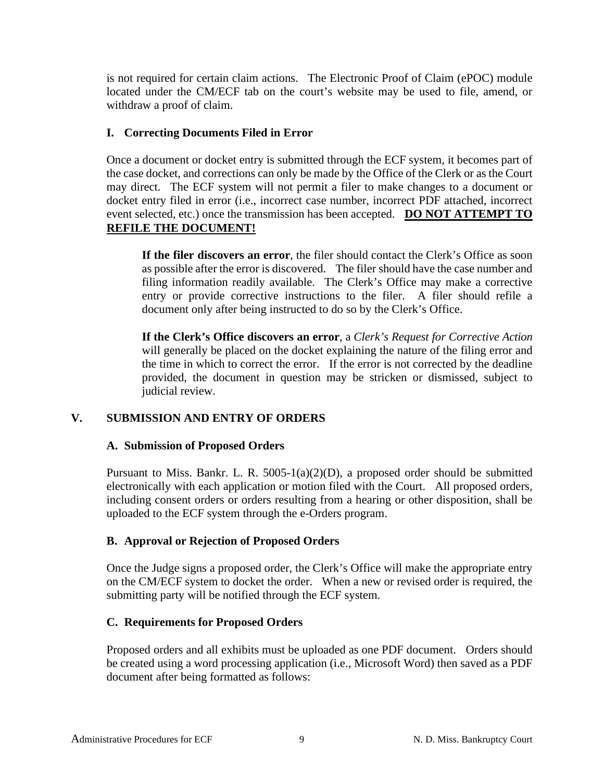is not required for certain claim actions. The Electronic Proof of Claim (ePOC) module located under the CM/ECF tab on the court's website may be used to file, amend, or withdraw a proof of claim.

#### <span id="page-11-0"></span>**I. Correcting Documents Filed in Error**

Once a document or docket entry is submitted through the ECF system, it becomes part of the case docket, and corrections can only be made by the Office of the Clerk or as the Court may direct. The ECF system will not permit a filer to make changes to a document or docket entry filed in error (i.e., incorrect case number, incorrect PDF attached, incorrect event selected, etc.) once the transmission has been accepted. **DO NOT ATTEMPT TO REFILE THE DOCUMENT!**

**If the filer discovers an error**, the filer should contact the Clerk's Office as soon as possible after the error is discovered. The filer should have the case number and filing information readily available. The Clerk's Office may make a corrective entry or provide corrective instructions to the filer. A filer should refile a document only after being instructed to do so by the Clerk's Office.

**If the Clerk's Office discovers an error**, a *Clerk's Request for Corrective Action* will generally be placed on the docket explaining the nature of the filing error and the time in which to correct the error. If the error is not corrected by the deadline provided, the document in question may be stricken or dismissed, subject to judicial review.

#### <span id="page-11-2"></span><span id="page-11-1"></span>**V. SUBMISSION AND ENTRY OF ORDERS**

#### **A. Submission of Proposed Orders**

Pursuant to Miss. Bankr. L. R. 5005-1(a)(2)(D), a proposed order should be submitted electronically with each application or motion filed with the Court. All proposed orders, including consent orders or orders resulting from a hearing or other disposition, shall be uploaded to the ECF system through the e-Orders program.

#### <span id="page-11-3"></span>**B. Approval or Rejection of Proposed Orders**

Once the Judge signs a proposed order, the Clerk's Office will make the appropriate entry on the CM/ECF system to docket the order. When a new or revised order is required, the submitting party will be notified through the ECF system.

#### <span id="page-11-4"></span>**C. Requirements for Proposed Orders**

Proposed orders and all exhibits must be uploaded as one PDF document. Orders should be created using a word processing application (i.e., Microsoft Word) then saved as a PDF document after being formatted as follows: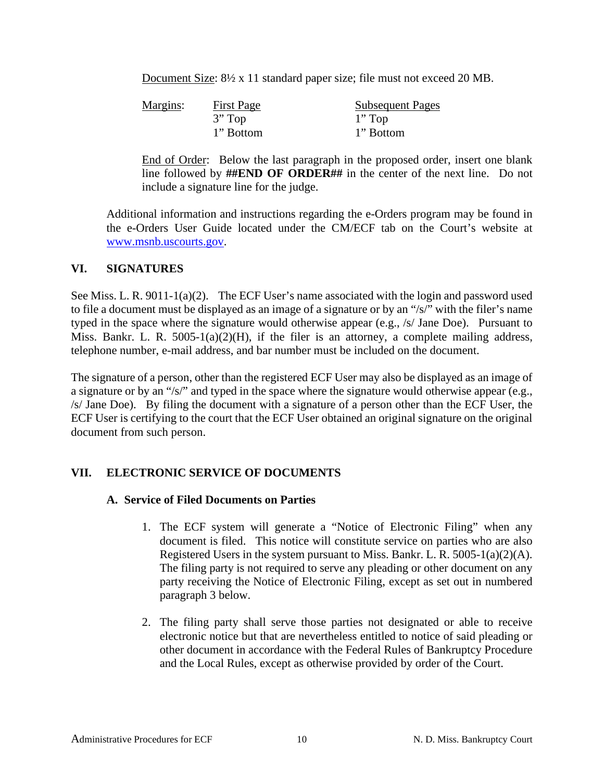Document Size:  $8\frac{1}{2}$  x 11 standard paper size; file must not exceed 20 MB.

| Margins: | <b>First Page</b> | <b>Subsequent Pages</b> |
|----------|-------------------|-------------------------|
|          | $3"$ Top          | $1"$ Top                |
|          | 1" Bottom         | 1" Bottom               |

End of Order: Below the last paragraph in the proposed order, insert one blank line followed by **##END OF ORDER##** in the center of the next line. Do not include a signature line for the judge.

Additional information and instructions regarding the e-Orders program may be found in the e-Orders User Guide located under the CM/ECF tab on the Court's website at [www.msnb.uscourts.gov.](http://www.msnb.uscourts.gov/)

#### <span id="page-12-0"></span>**VI. SIGNATURES**

See Miss. L. R. 9011-1(a)(2). The ECF User's name associated with the login and password used to file a document must be displayed as an image of a signature or by an "/s/" with the filer's name typed in the space where the signature would otherwise appear (e.g., /s/ Jane Doe). Pursuant to Miss. Bankr. L. R.  $5005-1(a)(2)(H)$ , if the filer is an attorney, a complete mailing address, telephone number, e-mail address, and bar number must be included on the document.

The signature of a person, other than the registered ECF User may also be displayed as an image of a signature or by an "/s/" and typed in the space where the signature would otherwise appear (e.g., /s/ Jane Doe). By filing the document with a signature of a person other than the ECF User, the ECF User is certifying to the court that the ECF User obtained an original signature on the original document from such person.

# <span id="page-12-2"></span><span id="page-12-1"></span>**VII. ELECTRONIC SERVICE OF DOCUMENTS**

#### **A. Service of Filed Documents on Parties**

- 1. The ECF system will generate a "Notice of Electronic Filing" when any document is filed. This notice will constitute service on parties who are also Registered Users in the system pursuant to Miss. Bankr. L. R. 5005-1(a)(2)(A). The filing party is not required to serve any pleading or other document on any party receiving the Notice of Electronic Filing, except as set out in numbered paragraph 3 below.
- 2. The filing party shall serve those parties not designated or able to receive electronic notice but that are nevertheless entitled to notice of said pleading or other document in accordance with the Federal Rules of Bankruptcy Procedure and the Local Rules, except as otherwise provided by order of the Court.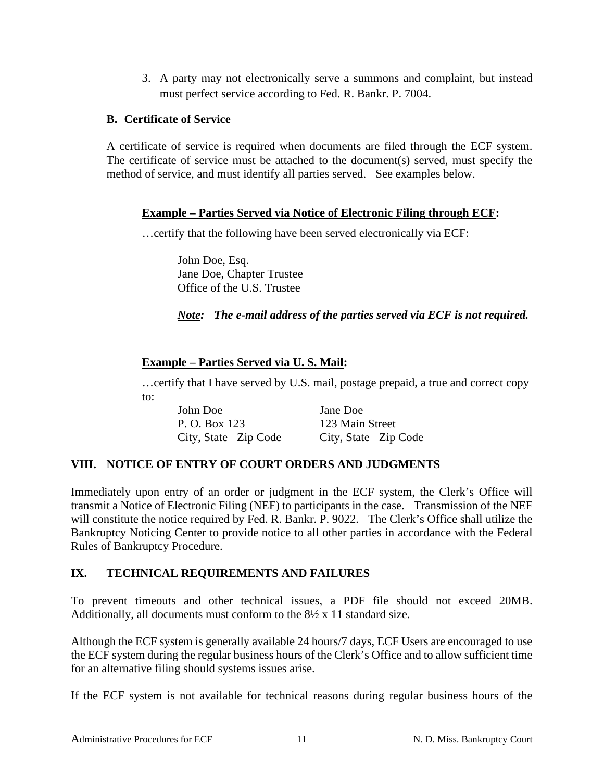3. A party may not electronically serve a summons and complaint, but instead must perfect service according to Fed. R. Bankr. P. 7004.

#### <span id="page-13-0"></span>**B. Certificate of Service**

A certificate of service is required when documents are filed through the ECF system. The certificate of service must be attached to the document(s) served, must specify the method of service, and must identify all parties served. See examples below.

#### **Example – Parties Served via Notice of Electronic Filing through ECF:**

…certify that the following have been served electronically via ECF:

John Doe, Esq. Jane Doe, Chapter Trustee Office of the U.S. Trustee

#### *Note: The e-mail address of the parties served via ECF is not required.*

#### **Example – Parties Served via U. S. Mail:**

…certify that I have served by U.S. mail, postage prepaid, a true and correct copy to:

| John Doe             | Jane Doe             |
|----------------------|----------------------|
| P. O. Box 123        | 123 Main Street      |
| City, State Zip Code | City, State Zip Code |

#### <span id="page-13-1"></span>**VIII. NOTICE OF ENTRY OF COURT ORDERS AND JUDGMENTS**

Immediately upon entry of an order or judgment in the ECF system, the Clerk's Office will transmit a Notice of Electronic Filing (NEF) to participants in the case. Transmission of the NEF will constitute the notice required by Fed. R. Bankr. P. 9022. The Clerk's Office shall utilize the Bankruptcy Noticing Center to provide notice to all other parties in accordance with the Federal Rules of Bankruptcy Procedure.

#### <span id="page-13-2"></span>**IX. TECHNICAL REQUIREMENTS AND FAILURES**

To prevent timeouts and other technical issues, a PDF file should not exceed 20MB. Additionally, all documents must conform to the 8½ x 11 standard size.

Although the ECF system is generally available 24 hours/7 days, ECF Users are encouraged to use the ECF system during the regular business hours of the Clerk's Office and to allow sufficient time for an alternative filing should systems issues arise.

If the ECF system is not available for technical reasons during regular business hours of the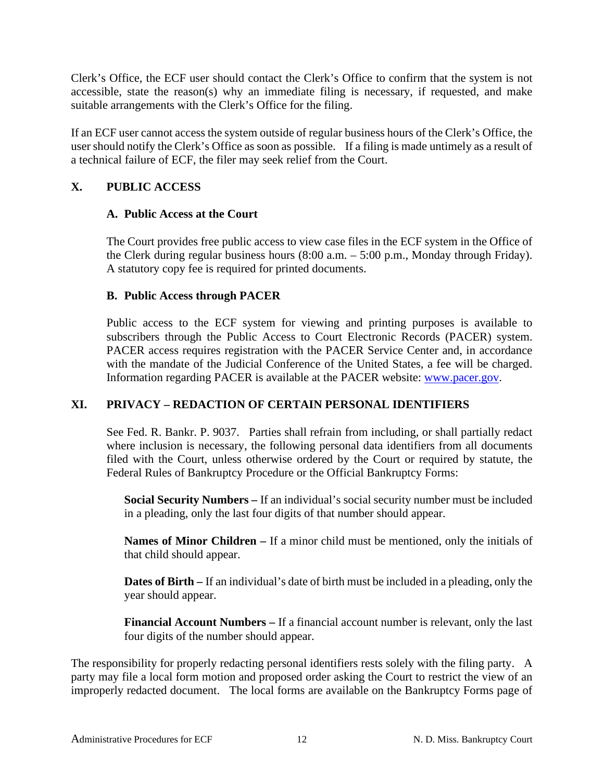Clerk's Office, the ECF user should contact the Clerk's Office to confirm that the system is not accessible, state the reason(s) why an immediate filing is necessary, if requested, and make suitable arrangements with the Clerk's Office for the filing.

If an ECF user cannot access the system outside of regular business hours of the Clerk's Office, the user should notify the Clerk's Office as soon as possible. If a filing is made untimely as a result of a technical failure of ECF, the filer may seek relief from the Court.

# <span id="page-14-1"></span><span id="page-14-0"></span>**X. PUBLIC ACCESS**

#### **A. Public Access at the Court**

The Court provides free public access to view case files in the ECF system in the Office of the Clerk during regular business hours (8:00 a.m. – 5:00 p.m., Monday through Friday). A statutory copy fee is required for printed documents.

#### <span id="page-14-2"></span>**B. Public Access through PACER**

Public access to the ECF system for viewing and printing purposes is available to subscribers through the Public Access to Court Electronic Records (PACER) system. PACER access requires registration with the PACER Service Center and, in accordance with the mandate of the Judicial Conference of the United States, a fee will be charged. Information regarding PACER is available at the PACER website: [www.pacer.gov.](http://www.pacer.gov/)

# <span id="page-14-3"></span>**XI. PRIVACY – REDACTION OF CERTAIN PERSONAL IDENTIFIERS**

See Fed. R. Bankr. P. 9037. Parties shall refrain from including, or shall partially redact where inclusion is necessary, the following personal data identifiers from all documents filed with the Court, unless otherwise ordered by the Court or required by statute, the Federal Rules of Bankruptcy Procedure or the Official Bankruptcy Forms:

**Social Security Numbers –** If an individual's social security number must be included in a pleading, only the last four digits of that number should appear.

**Names of Minor Children –** If a minor child must be mentioned, only the initials of that child should appear.

**Dates of Birth –** If an individual's date of birth must be included in a pleading, only the year should appear.

**Financial Account Numbers –** If a financial account number is relevant, only the last four digits of the number should appear.

The responsibility for properly redacting personal identifiers rests solely with the filing party. A party may file a local form motion and proposed order asking the Court to restrict the view of an improperly redacted document. The local forms are available on the Bankruptcy Forms page of